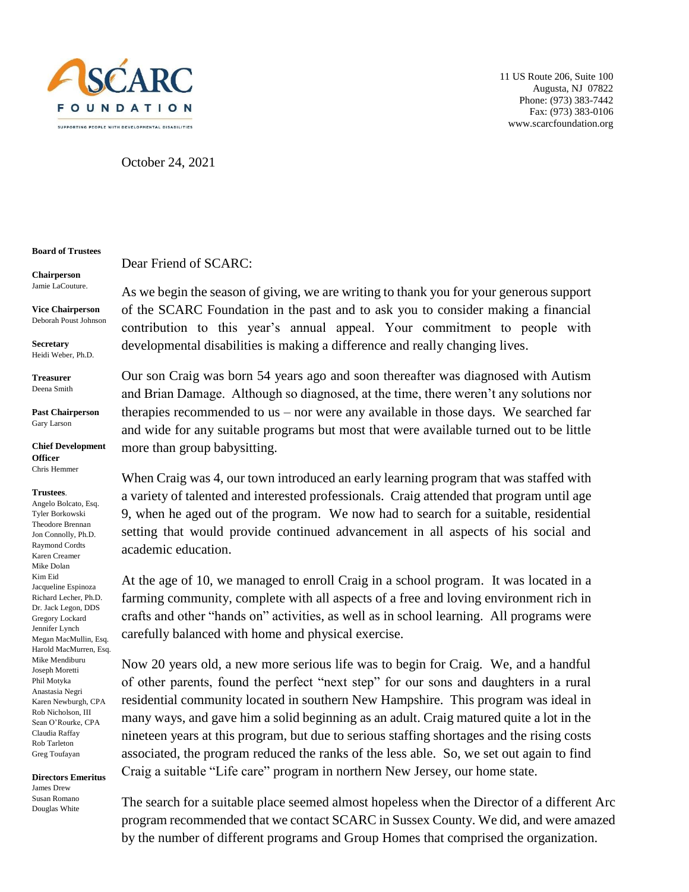

11 US Route 206, Suite 100 Augusta, NJ 07822 Phone: (973) 383-7442 Fax: (973) 383-0106 www.scarcfoundation.org

October 24, 2021

Dear Friend of SCARC:

## **Board of Trustees**

**Chairperson** Jamie LaCouture.

**Vice Chairperson** Deborah Poust Johnson

**Secretary** Heidi Weber, Ph.D.

**Treasurer**  Deena Smith

**Past Chairperson** Gary Larson

**Chief Development Officer**

Chris Hemmer

## **Trustees**.

Angelo Bolcato, Esq. Tyler Borkowski Theodore Brennan Jon Connolly, Ph.D. Raymond Cordts Karen Creamer Mike Dolan Kim Eid Jacqueline Espinoza Richard Lecher, Ph.D. Dr. Jack Legon, DDS Gregory Lockard Jennifer Lynch Megan MacMullin, Esq. Harold MacMurren, Esq. Mike Mendiburu Joseph Moretti Phil Motyka Anastasia Negri Karen Newburgh, CPA Rob Nicholson, III Sean O'Rourke, CPA Claudia Raffay Rob Tarleton Greg Toufayan

## **Directors Emeritus** James Drew Susan Romano Douglas White

As we begin the season of giving, we are writing to thank you for your generous support of the SCARC Foundation in the past and to ask you to consider making a financial contribution to this year's annual appeal. Your commitment to people with developmental disabilities is making a difference and really changing lives.

Our son Craig was born 54 years ago and soon thereafter was diagnosed with Autism and Brian Damage. Although so diagnosed, at the time, there weren't any solutions nor therapies recommended to us – nor were any available in those days. We searched far and wide for any suitable programs but most that were available turned out to be little more than group babysitting.

When Craig was 4, our town introduced an early learning program that was staffed with a variety of talented and interested professionals. Craig attended that program until age 9, when he aged out of the program. We now had to search for a suitable, residential setting that would provide continued advancement in all aspects of his social and academic education.

At the age of 10, we managed to enroll Craig in a school program. It was located in a farming community, complete with all aspects of a free and loving environment rich in crafts and other "hands on" activities, as well as in school learning. All programs were carefully balanced with home and physical exercise.

Now 20 years old, a new more serious life was to begin for Craig. We, and a handful of other parents, found the perfect "next step" for our sons and daughters in a rural residential community located in southern New Hampshire. This program was ideal in many ways, and gave him a solid beginning as an adult. Craig matured quite a lot in the nineteen years at this program, but due to serious staffing shortages and the rising costs associated, the program reduced the ranks of the less able. So, we set out again to find Craig a suitable "Life care" program in northern New Jersey, our home state.

The search for a suitable place seemed almost hopeless when the Director of a different Arc program recommended that we contact SCARC in Sussex County. We did, and were amazed by the number of different programs and Group Homes that comprised the organization.